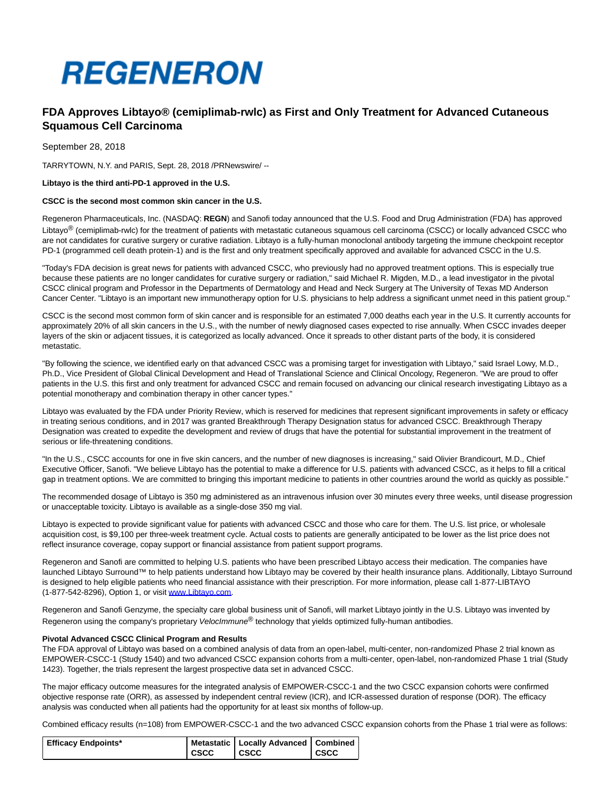

# **FDA Approves Libtayo® (cemiplimab-rwlc) as First and Only Treatment for Advanced Cutaneous Squamous Cell Carcinoma**

September 28, 2018

TARRYTOWN, N.Y. and PARIS, Sept. 28, 2018 /PRNewswire/ --

### **Libtayo is the third anti-PD-1 approved in the U.S.**

### **CSCC is the second most common skin cancer in the U.S.**

Regeneron Pharmaceuticals, Inc. (NASDAQ: **REGN**) and Sanofi today announced that the U.S. Food and Drug Administration (FDA) has approved Libtayo<sup>®</sup> (cemiplimab-rwlc) for the treatment of patients with metastatic cutaneous squamous cell carcinoma (CSCC) or locally advanced CSCC who are not candidates for curative surgery or curative radiation. Libtayo is a fully-human monoclonal antibody targeting the immune checkpoint receptor PD-1 (programmed cell death protein-1) and is the first and only treatment specifically approved and available for advanced CSCC in the U.S.

"Today's FDA decision is great news for patients with advanced CSCC, who previously had no approved treatment options. This is especially true because these patients are no longer candidates for curative surgery or radiation," said Michael R. Migden, M.D., a lead investigator in the pivotal CSCC clinical program and Professor in the Departments of Dermatology and Head and Neck Surgery at The University of Texas MD Anderson Cancer Center. "Libtayo is an important new immunotherapy option for U.S. physicians to help address a significant unmet need in this patient group."

CSCC is the second most common form of skin cancer and is responsible for an estimated 7,000 deaths each year in the U.S. It currently accounts for approximately 20% of all skin cancers in the U.S., with the number of newly diagnosed cases expected to rise annually. When CSCC invades deeper layers of the skin or adjacent tissues, it is categorized as locally advanced. Once it spreads to other distant parts of the body, it is considered metastatic.

"By following the science, we identified early on that advanced CSCC was a promising target for investigation with Libtayo," said Israel Lowy, M.D., Ph.D., Vice President of Global Clinical Development and Head of Translational Science and Clinical Oncology, Regeneron. "We are proud to offer patients in the U.S. this first and only treatment for advanced CSCC and remain focused on advancing our clinical research investigating Libtayo as a potential monotherapy and combination therapy in other cancer types."

Libtayo was evaluated by the FDA under Priority Review, which is reserved for medicines that represent significant improvements in safety or efficacy in treating serious conditions, and in 2017 was granted Breakthrough Therapy Designation status for advanced CSCC. Breakthrough Therapy Designation was created to expedite the development and review of drugs that have the potential for substantial improvement in the treatment of serious or life-threatening conditions.

"In the U.S., CSCC accounts for one in five skin cancers, and the number of new diagnoses is increasing," said Olivier Brandicourt, M.D., Chief Executive Officer, Sanofi. "We believe Libtayo has the potential to make a difference for U.S. patients with advanced CSCC, as it helps to fill a critical gap in treatment options. We are committed to bringing this important medicine to patients in other countries around the world as quickly as possible."

The recommended dosage of Libtayo is 350 mg administered as an intravenous infusion over 30 minutes every three weeks, until disease progression or unacceptable toxicity. Libtayo is available as a single-dose 350 mg vial.

Libtayo is expected to provide significant value for patients with advanced CSCC and those who care for them. The U.S. list price, or wholesale acquisition cost, is \$9,100 per three-week treatment cycle. Actual costs to patients are generally anticipated to be lower as the list price does not reflect insurance coverage, copay support or financial assistance from patient support programs.

Regeneron and Sanofi are committed to helping U.S. patients who have been prescribed Libtayo access their medication. The companies have launched Libtayo Surround™ to help patients understand how Libtayo may be covered by their health insurance plans. Additionally, Libtayo Surround is designed to help eligible patients who need financial assistance with their prescription. For more information, please call 1-877-LIBTAYO (1-877-542-8296), Option 1, or visit [www.Libtayo.com.](http://www.libtayo.com/)

Regeneron and Sanofi Genzyme, the specialty care global business unit of Sanofi, will market Libtayo jointly in the U.S. Libtayo was invented by Regeneron using the company's proprietary *VelocImmune*<sup>®</sup> technology that yields optimized fully-human antibodies.

#### **Pivotal Advanced CSCC Clinical Program and Results**

The FDA approval of Libtayo was based on a combined analysis of data from an open-label, multi-center, non-randomized Phase 2 trial known as EMPOWER-CSCC-1 (Study 1540) and two advanced CSCC expansion cohorts from a multi-center, open-label, non-randomized Phase 1 trial (Study 1423). Together, the trials represent the largest prospective data set in advanced CSCC.

The major efficacy outcome measures for the integrated analysis of EMPOWER-CSCC-1 and the two CSCC expansion cohorts were confirmed objective response rate (ORR), as assessed by independent central review (ICR), and ICR-assessed duration of response (DOR). The efficacy analysis was conducted when all patients had the opportunity for at least six months of follow-up.

Combined efficacy results (n=108) from EMPOWER-CSCC-1 and the two advanced CSCC expansion cohorts from the Phase 1 trial were as follows:

| <b>Efficacy Endpoints*</b> |             | Metastatic   Locally Advanced   Combined |             |
|----------------------------|-------------|------------------------------------------|-------------|
|                            | <b>CSCC</b> | csc                                      | <b>CSCC</b> |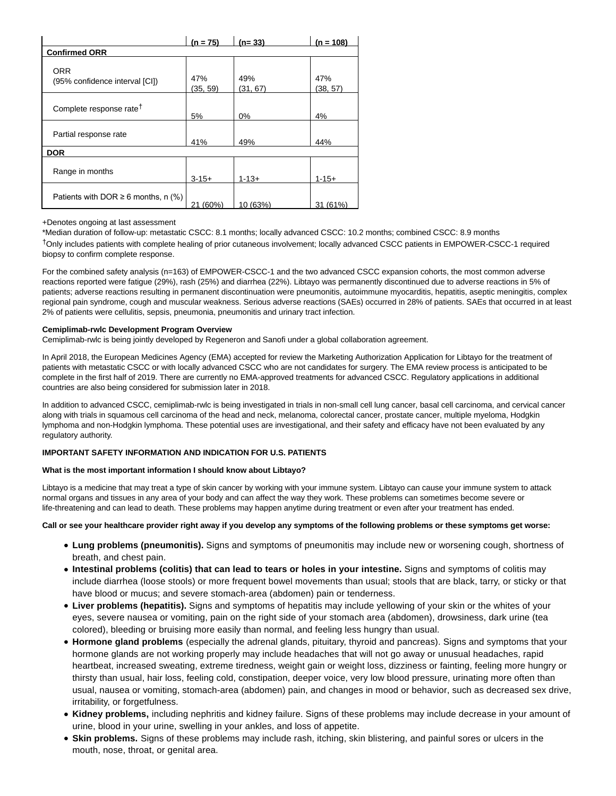|                                              | $(n = 75)$      | $(n=33)$        | $(n = 108)$     |  |
|----------------------------------------------|-----------------|-----------------|-----------------|--|
| <b>Confirmed ORR</b>                         |                 |                 |                 |  |
| <b>ORR</b><br>(95% confidence interval [CI]) | 47%<br>(35, 59) | 49%<br>(31, 67) | 47%<br>(38, 57) |  |
| Complete response rate <sup>†</sup>          | 5%              | 0%              | 4%              |  |
| Partial response rate                        | 41%             | 49%             | 44%             |  |
| <b>DOR</b>                                   |                 |                 |                 |  |
| Range in months                              | $3 - 15 +$      | $1 - 13 +$      | $1 - 15 +$      |  |
| Patients with DOR $\geq 6$ months, n (%)     | 21 (60%)        | 10 (63%)        | 31 (61%)        |  |

# +Denotes ongoing at last assessment

\*Median duration of follow-up: metastatic CSCC: 8.1 months; locally advanced CSCC: 10.2 months; combined CSCC: 8.9 months †Only includes patients with complete healing of prior cutaneous involvement; locally advanced CSCC patients in EMPOWER-CSCC-1 required biopsy to confirm complete response.

For the combined safety analysis (n=163) of EMPOWER-CSCC-1 and the two advanced CSCC expansion cohorts, the most common adverse reactions reported were fatigue (29%), rash (25%) and diarrhea (22%). Libtayo was permanently discontinued due to adverse reactions in 5% of patients; adverse reactions resulting in permanent discontinuation were pneumonitis, autoimmune myocarditis, hepatitis, aseptic meningitis, complex regional pain syndrome, cough and muscular weakness. Serious adverse reactions (SAEs) occurred in 28% of patients. SAEs that occurred in at least 2% of patients were cellulitis, sepsis, pneumonia, pneumonitis and urinary tract infection.

### **Cemiplimab-rwlc Development Program Overview**

Cemiplimab-rwlc is being jointly developed by Regeneron and Sanofi under a global collaboration agreement.

In April 2018, the European Medicines Agency (EMA) accepted for review the Marketing Authorization Application for Libtayo for the treatment of patients with metastatic CSCC or with locally advanced CSCC who are not candidates for surgery. The EMA review process is anticipated to be complete in the first half of 2019. There are currently no EMA-approved treatments for advanced CSCC. Regulatory applications in additional countries are also being considered for submission later in 2018.

In addition to advanced CSCC, cemiplimab-rwlc is being investigated in trials in non-small cell lung cancer, basal cell carcinoma, and cervical cancer along with trials in squamous cell carcinoma of the head and neck, melanoma, colorectal cancer, prostate cancer, multiple myeloma, Hodgkin lymphoma and non-Hodgkin lymphoma. These potential uses are investigational, and their safety and efficacy have not been evaluated by any regulatory authority.

# **IMPORTANT SAFETY INFORMATION AND INDICATION FOR U.S. PATIENTS**

# **What is the most important information I should know about Libtayo?**

Libtayo is a medicine that may treat a type of skin cancer by working with your immune system. Libtayo can cause your immune system to attack normal organs and tissues in any area of your body and can affect the way they work. These problems can sometimes become severe or life-threatening and can lead to death. These problems may happen anytime during treatment or even after your treatment has ended.

# **Call or see your healthcare provider right away if you develop any symptoms of the following problems or these symptoms get worse:**

- **Lung problems (pneumonitis).** Signs and symptoms of pneumonitis may include new or worsening cough, shortness of breath, and chest pain.
- **Intestinal problems (colitis) that can lead to tears or holes in your intestine.** Signs and symptoms of colitis may include diarrhea (loose stools) or more frequent bowel movements than usual; stools that are black, tarry, or sticky or that have blood or mucus; and severe stomach-area (abdomen) pain or tenderness.
- **Liver problems (hepatitis).** Signs and symptoms of hepatitis may include yellowing of your skin or the whites of your eyes, severe nausea or vomiting, pain on the right side of your stomach area (abdomen), drowsiness, dark urine (tea colored), bleeding or bruising more easily than normal, and feeling less hungry than usual.
- **Hormone gland problems** (especially the adrenal glands, pituitary, thyroid and pancreas). Signs and symptoms that your hormone glands are not working properly may include headaches that will not go away or unusual headaches, rapid heartbeat, increased sweating, extreme tiredness, weight gain or weight loss, dizziness or fainting, feeling more hungry or thirsty than usual, hair loss, feeling cold, constipation, deeper voice, very low blood pressure, urinating more often than usual, nausea or vomiting, stomach-area (abdomen) pain, and changes in mood or behavior, such as decreased sex drive, irritability, or forgetfulness.
- **Kidney problems,** including nephritis and kidney failure. Signs of these problems may include decrease in your amount of urine, blood in your urine, swelling in your ankles, and loss of appetite.
- **Skin problems.** Signs of these problems may include rash, itching, skin blistering, and painful sores or ulcers in the mouth, nose, throat, or genital area.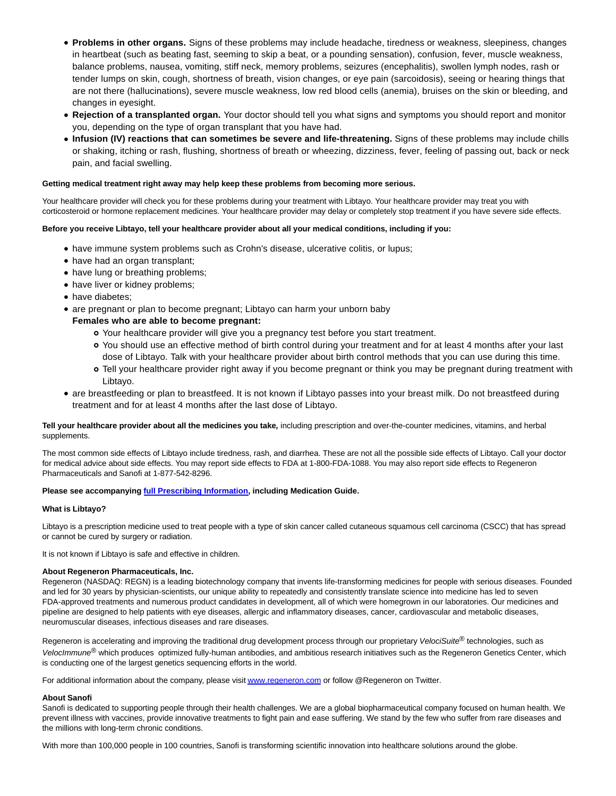- **Problems in other organs.** Signs of these problems may include headache, tiredness or weakness, sleepiness, changes in heartbeat (such as beating fast, seeming to skip a beat, or a pounding sensation), confusion, fever, muscle weakness, balance problems, nausea, vomiting, stiff neck, memory problems, seizures (encephalitis), swollen lymph nodes, rash or tender lumps on skin, cough, shortness of breath, vision changes, or eye pain (sarcoidosis), seeing or hearing things that are not there (hallucinations), severe muscle weakness, low red blood cells (anemia), bruises on the skin or bleeding, and changes in eyesight.
- **Rejection of a transplanted organ.** Your doctor should tell you what signs and symptoms you should report and monitor you, depending on the type of organ transplant that you have had.
- **Infusion (IV) reactions that can sometimes be severe and life-threatening.** Signs of these problems may include chills or shaking, itching or rash, flushing, shortness of breath or wheezing, dizziness, fever, feeling of passing out, back or neck pain, and facial swelling.

### **Getting medical treatment right away may help keep these problems from becoming more serious.**

Your healthcare provider will check you for these problems during your treatment with Libtayo. Your healthcare provider may treat you with corticosteroid or hormone replacement medicines. Your healthcare provider may delay or completely stop treatment if you have severe side effects.

### **Before you receive Libtayo, tell your healthcare provider about all your medical conditions, including if you:**

- have immune system problems such as Crohn's disease, ulcerative colitis, or lupus;
- have had an organ transplant;
- have lung or breathing problems;
- have liver or kidney problems;
- have diabetes:
- are pregnant or plan to become pregnant; Libtayo can harm your unborn baby

# **Females who are able to become pregnant:**

- Your healthcare provider will give you a pregnancy test before you start treatment.
- You should use an effective method of birth control during your treatment and for at least 4 months after your last dose of Libtayo. Talk with your healthcare provider about birth control methods that you can use during this time.
- Tell your healthcare provider right away if you become pregnant or think you may be pregnant during treatment with Libtayo.
- are breastfeeding or plan to breastfeed. It is not known if Libtayo passes into your breast milk. Do not breastfeed during treatment and for at least 4 months after the last dose of Libtayo.

# **Tell your healthcare provider about all the medicines you take,** including prescription and over-the-counter medicines, vitamins, and herbal supplements.

The most common side effects of Libtayo include tiredness, rash, and diarrhea. These are not all the possible side effects of Libtayo. Call your doctor for medical advice about side effects. You may report side effects to FDA at 1-800-FDA-1088. You may also report side effects to Regeneron Pharmaceuticals and Sanofi at 1-877-542-8296.

# **Please see accompanying [full Prescribing Information,](https://www.regeneron.com/sites/default/files/Libtayo_FPI.pdf) including Medication Guide.**

# **What is Libtayo?**

Libtayo is a prescription medicine used to treat people with a type of skin cancer called cutaneous squamous cell carcinoma (CSCC) that has spread or cannot be cured by surgery or radiation.

It is not known if Libtayo is safe and effective in children.

# **About Regeneron Pharmaceuticals, Inc.**

Regeneron (NASDAQ: REGN) is a leading biotechnology company that invents life-transforming medicines for people with serious diseases. Founded and led for 30 years by physician-scientists, our unique ability to repeatedly and consistently translate science into medicine has led to seven FDA-approved treatments and numerous product candidates in development, all of which were homegrown in our laboratories. Our medicines and pipeline are designed to help patients with eye diseases, allergic and inflammatory diseases, cancer, cardiovascular and metabolic diseases, neuromuscular diseases, infectious diseases and rare diseases.

Regeneron is accelerating and improving the traditional drug development process through our proprietary VelociSuite<sup>®</sup> technologies, such as VelocImmune<sup>®</sup> which produces optimized fully-human antibodies, and ambitious research initiatives such as the Regeneron Genetics Center, which is conducting one of the largest genetics sequencing efforts in the world.

For additional information about the company, please visi[t www.regeneron.com o](http://www.regeneron.com/)r follow @Regeneron on Twitter.

# **About Sanofi**

Sanofi is dedicated to supporting people through their health challenges. We are a global biopharmaceutical company focused on human health. We prevent illness with vaccines, provide innovative treatments to fight pain and ease suffering. We stand by the few who suffer from rare diseases and the millions with long-term chronic conditions.

With more than 100,000 people in 100 countries, Sanofi is transforming scientific innovation into healthcare solutions around the globe.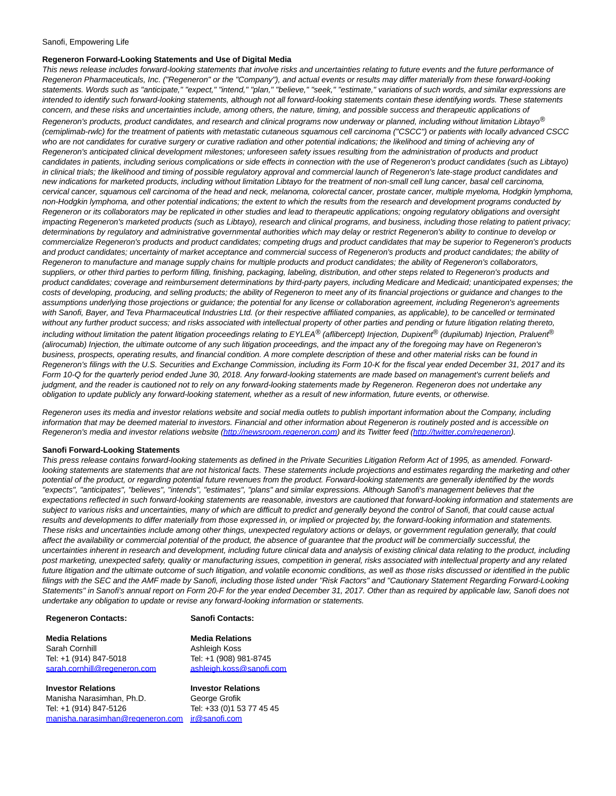#### Sanofi, Empowering Life

### **Regeneron Forward-Looking Statements and Use of Digital Media**

This news release includes forward-looking statements that involve risks and uncertainties relating to future events and the future performance of Regeneron Pharmaceuticals, Inc. ("Regeneron" or the "Company"), and actual events or results may differ materially from these forward-looking statements. Words such as "anticipate," "expect," "intend," "plan," "believe," "seek," "estimate," variations of such words, and similar expressions are intended to identify such forward-looking statements, although not all forward-looking statements contain these identifying words. These statements concern, and these risks and uncertainties include, among others, the nature, timing, and possible success and therapeutic applications of Regeneron's products, product candidates, and research and clinical programs now underway or planned, including without limitation Libtayo $^{\circledR}$ (cemiplimab-rwlc) for the treatment of patients with metastatic cutaneous squamous cell carcinoma ("CSCC") or patients with locally advanced CSCC who are not candidates for curative surgery or curative radiation and other potential indications; the likelihood and timing of achieving any of Regeneron's anticipated clinical development milestones; unforeseen safety issues resulting from the administration of products and product candidates in patients, including serious complications or side effects in connection with the use of Regeneron's product candidates (such as Libtayo) in clinical trials; the likelihood and timing of possible regulatory approval and commercial launch of Regeneron's late-stage product candidates and new indications for marketed products, including without limitation Libtayo for the treatment of non-small cell lung cancer, basal cell carcinoma, cervical cancer, squamous cell carcinoma of the head and neck, melanoma, colorectal cancer, prostate cancer, multiple myeloma, Hodgkin lymphoma, non-Hodgkin lymphoma, and other potential indications; the extent to which the results from the research and development programs conducted by Regeneron or its collaborators may be replicated in other studies and lead to therapeutic applications; ongoing regulatory obligations and oversight impacting Regeneron's marketed products (such as Libtayo), research and clinical programs, and business, including those relating to patient privacy; determinations by regulatory and administrative governmental authorities which may delay or restrict Regeneron's ability to continue to develop or commercialize Regeneron's products and product candidates; competing drugs and product candidates that may be superior to Regeneron's products and product candidates; uncertainty of market acceptance and commercial success of Regeneron's products and product candidates; the ability of Regeneron to manufacture and manage supply chains for multiple products and product candidates; the ability of Regeneron's collaborators, suppliers, or other third parties to perform filling, finishing, packaging, labeling, distribution, and other steps related to Regeneron's products and product candidates; coverage and reimbursement determinations by third-party payers, including Medicare and Medicaid; unanticipated expenses; the costs of developing, producing, and selling products; the ability of Regeneron to meet any of its financial projections or guidance and changes to the assumptions underlying those projections or guidance; the potential for any license or collaboration agreement, including Regeneron's agreements with Sanofi, Bayer, and Teva Pharmaceutical Industries Ltd. (or their respective affiliated companies, as applicable), to be cancelled or terminated without any further product success; and risks associated with intellectual property of other parties and pending or future litigation relating thereto, including without limitation the patent litigation proceedings relating to EYLEA® (aflibercept) Injection, Dupixent® (dupilumab) Injection, Praluent<sup>®</sup> (alirocumab) Injection, the ultimate outcome of any such litigation proceedings, and the impact any of the foregoing may have on Regeneron's business, prospects, operating results, and financial condition. A more complete description of these and other material risks can be found in Regeneron's filings with the U.S. Securities and Exchange Commission, including its Form 10-K for the fiscal year ended December 31, 2017 and its Form 10-Q for the quarterly period ended June 30, 2018. Any forward-looking statements are made based on management's current beliefs and judgment, and the reader is cautioned not to rely on any forward-looking statements made by Regeneron. Regeneron does not undertake any obligation to update publicly any forward-looking statement, whether as a result of new information, future events, or otherwise.

Regeneron uses its media and investor relations website and social media outlets to publish important information about the Company, including information that may be deemed material to investors. Financial and other information about Regeneron is routinely posted and is accessible on Regeneron's media and investor relations website [\(http://newsroom.regeneron.com\)](http://newsroom.regeneron.com/) and its Twitter feed [\(http://twitter.com/regeneron\).](http://twitter.com/regeneron)

#### **Sanofi Forward-Looking Statements**

This press release contains forward-looking statements as defined in the Private Securities Litigation Reform Act of 1995, as amended. Forwardlooking statements are statements that are not historical facts. These statements include projections and estimates regarding the marketing and other potential of the product, or regarding potential future revenues from the product. Forward-looking statements are generally identified by the words "expects", "anticipates", "believes", "intends", "estimates", "plans" and similar expressions. Although Sanofi's management believes that the expectations reflected in such forward-looking statements are reasonable, investors are cautioned that forward-looking information and statements are subject to various risks and uncertainties, many of which are difficult to predict and generally beyond the control of Sanofi, that could cause actual results and developments to differ materially from those expressed in, or implied or projected by, the forward-looking information and statements. These risks and uncertainties include among other things, unexpected regulatory actions or delays, or government regulation generally, that could affect the availability or commercial potential of the product, the absence of guarantee that the product will be commercially successful, the uncertainties inherent in research and development, including future clinical data and analysis of existing clinical data relating to the product, including post marketing, unexpected safety, quality or manufacturing issues, competition in general, risks associated with intellectual property and any related future litigation and the ultimate outcome of such litigation, and volatile economic conditions, as well as those risks discussed or identified in the public filings with the SEC and the AMF made by Sanofi, including those listed under "Risk Factors" and "Cautionary Statement Regarding Forward-Looking Statements" in Sanofi's annual report on Form 20-F for the year ended December 31, 2017. Other than as required by applicable law, Sanofi does not undertake any obligation to update or revise any forward-looking information or statements.

# **Regeneron Contacts: Sanofi Contacts:**

**Media Relations Media Relations** Sarah Cornhill **Ashleigh Koss** Tel: +1 (914) 847-5018 Tel: +1 (908) 981-8745 [sarah.cornhill@regeneron.com](mailto:sarah.cornhill@regeneron.com) ashleigh.koss@sanofi.com

**Investor Relations Investor Relations** Manisha Narasimhan, Ph.D. George Grofik Tel: +1 (914) 847-5126 Tel: +33 (0)1 53 77 45 45 [manisha.narasimhan@regeneron.com](mailto:manisha.narasimhan@regeneron.com) [ir@sanofi.com](mailto:ir@sanofi.com)